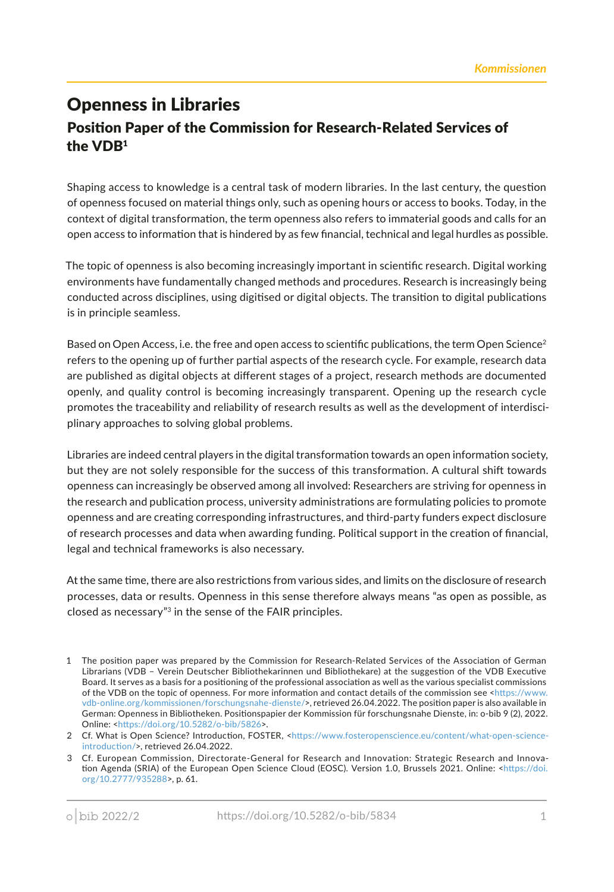## Openness in Libraries Positon Paper of the Commission for Research-Related Services of the VDB<sup>1</sup>

Shaping access to knowledge is a central task of modern libraries. In the last century, the queston of openness focused on material things only, such as opening hours or access to books. Today, in the context of digital transformation, the term openness also refers to immaterial goods and calls for an open access to informaton that is hindered by as few fnancial, technical and legal hurdles as possible.

The topic of openness is also becoming increasingly important in scientific research. Digital working environments have fundamentally changed methods and procedures. Research is increasingly being conducted across disciplines, using digitsed or digital objects. The transiton to digital publicatons is in principle seamless.

Based on Open Access, i.e. the free and open access to scientific publications, the term Open Science<sup>2</sup> refers to the opening up of further partial aspects of the research cycle. For example, research data are published as digital objects at diferent stages of a project, research methods are documented openly, and quality control is becoming increasingly transparent. Opening up the research cycle promotes the traceability and reliability of research results as well as the development of interdisciplinary approaches to solving global problems.

Libraries are indeed central players in the digital transformation towards an open information society, but they are not solely responsible for the success of this transformation. A cultural shift towards openness can increasingly be observed among all involved: Researchers are striving for openness in the research and publication process, university administrations are formulating policies to promote openness and are creatng corresponding infrastructures, and third-party funders expect disclosure of research processes and data when awarding funding. Politcal support in the creaton of fnancial, legal and technical frameworks is also necessary.

At the same time, there are also restrictions from various sides, and limits on the disclosure of research processes, data or results. Openness in this sense therefore always means "as open as possible, as closed as necessary"3 in the sense of the FAIR principles.

<sup>1</sup> The positon paper was prepared by the Commission for Research-Related Services of the Associaton of German Librarians (VDB – Verein Deutscher Bibliothekarinnen und Bibliothekare) at the suggeston of the VDB Executve Board. It serves as a basis for a positoning of the professional associaton as well as the various specialist commissions of the VDB on the topic of openness. For more information and contact details of the commission see <https://www. [vdb-online.org/kommissionen/forschungsnahe-dienste/](https://www.vdb-online.org/kommissionen/forschungsnahe-dienste/)>, retrieved 26.04.2022. The positon paper is also available in German: Openness in Bibliotheken. Positonspapier der Kommission für forschungsnahe Dienste, in: o-bib 9 (2), 2022. Online: [<htps://doi.org/10.5282/o-bib/5826](https://doi.org/10.5282/o-bib/5826)>.

<sup>2</sup> Cf. What is Open Science? Introduction, FOSTER, <https://www.fosteropenscience.eu/content/what-open-scienceintroduction/>, retrieved 26.04.2022.

<sup>3</sup> Cf. European Commission, Directorate-General for Research and Innovation: Strategic Research and Innovation Agenda (SRIA) of the European Open Science Cloud (EOSC). Version 1.0, Brussels 2021. Online: <https://doi. [org/10.2777/935288](https://doi.org/10.2777/935288)>, p. 61.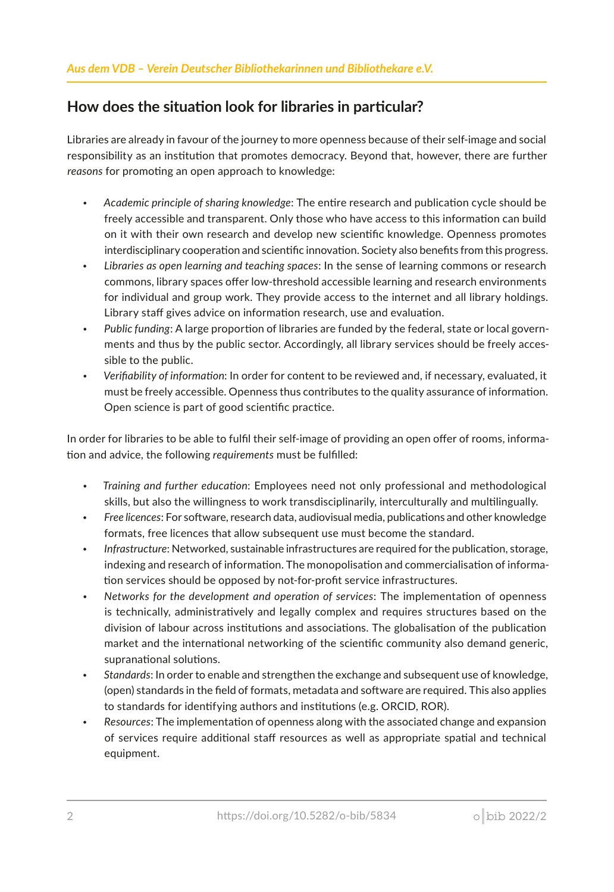## How does the situation look for libraries in particular?

Libraries are already in favour of the journey to more openness because of their self-image and social responsibility as an insttuton that promotes democracy. Beyond that, however, there are further reasons for promoting an open approach to knowledge:

- *Academic principle of sharing knowledge*: The entre research and publicaton cycle should be freely accessible and transparent. Only those who have access to this information can build on it with their own research and develop new scientific knowledge. Openness promotes interdisciplinary cooperation and scientific innovation. Society also benefits from this progress.
- *Libraries as open learning and teaching spaces*: In the sense of learning commons or research commons, library spaces offer low-threshold accessible learning and research environments for individual and group work. They provide access to the internet and all library holdings. Library staff gives advice on information research, use and evaluation.
- *Public funding*: A large proporton of libraries are funded by the federal, state or local governments and thus by the public sector. Accordingly, all library services should be freely accessible to the public.
- *Verifability of informaton*: In order for content to be reviewed and, if necessary, evaluated, it must be freely accessible. Openness thus contributes to the quality assurance of informaton. Open science is part of good scientific practice.

In order for libraries to be able to fulfl their self-image of providing an open ofer of rooms, informaton and advice, the following *requirements* must be fulflled:

- *Training and further educaton*: Employees need not only professional and methodological skills, but also the willingness to work transdisciplinarily, interculturally and multlingually.
- *Free licences*: For sofware, research data, audiovisual media, publicatons and other knowledge formats, free licences that allow subsequent use must become the standard.
- Infrastructure: Networked, sustainable infrastructures are required for the publication, storage, indexing and research of information. The monopolisation and commercialisation of information services should be opposed by not-for-profit service infrastructures.
- Networks for the development and operation of services: The implementation of openness is technically, administratvely and legally complex and requires structures based on the division of labour across institutions and associations. The globalisation of the publication market and the international networking of the scientific community also demand generic, supranational solutions.
- *Standards*: In order to enable and strengthen the exchange and subsequent use of knowledge, (open) standards in the feld of formats, metadata and sofware are required. This also applies to standards for identfying authors and insttutons (e.g. ORCID, ROR).
- Resources: The implementation of openness along with the associated change and expansion of services require additonal staf resources as well as appropriate spatal and technical equipment.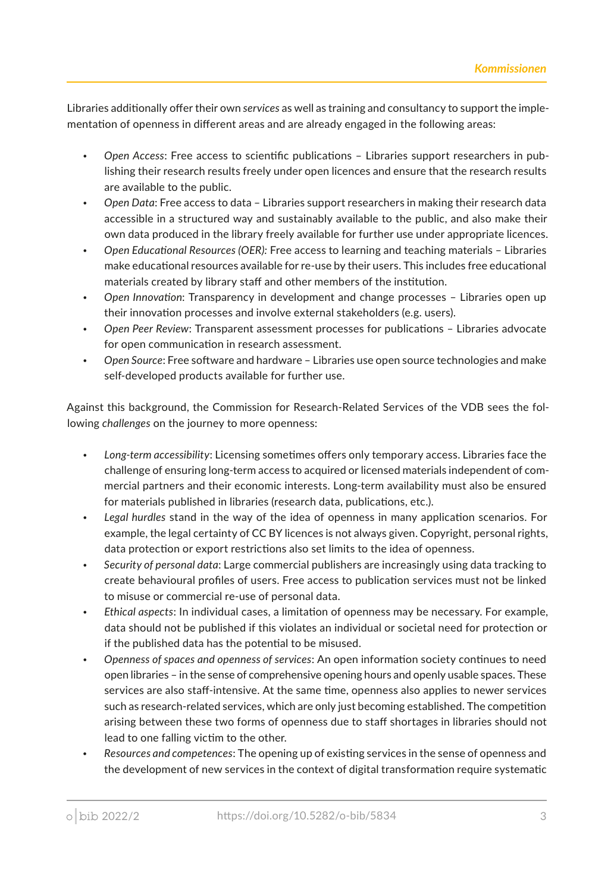Libraries additonally ofer their own *services* as well as training and consultancy to support the implementaton of openness in diferent areas and are already engaged in the following areas:

- Open Access: Free access to scientific publications Libraries support researchers in publishing their research results freely under open licences and ensure that the research results are available to the public.
- *Open Data*: Free access to data Libraries support researchers in making their research data accessible in a structured way and sustainably available to the public, and also make their own data produced in the library freely available for further use under appropriate licences.
- *Open Educatonal Resources (OER):* Free access to learning and teaching materials Libraries make educational resources available for re-use by their users. This includes free educational materials created by library staff and other members of the institution.
- *Open Innovaton*: Transparency in development and change processes Libraries open up their innovation processes and involve external stakeholders (e.g. users).
- *Open Peer Review*: Transparent assessment processes for publicatons Libraries advocate for open communication in research assessment.
- *Open Source*: Free sofware and hardware Libraries use open source technologies and make self-developed products available for further use.

Against this background, the Commission for Research-Related Services of the VDB sees the following *challenges* on the journey to more openness:

- Long-term accessibility: Licensing sometimes offers only temporary access. Libraries face the challenge of ensuring long-term access to acquired or licensed materials independent of commercial partners and their economic interests. Long-term availability must also be ensured for materials published in libraries (research data, publications, etc.).
- Legal hurdles stand in the way of the idea of openness in many application scenarios. For example, the legal certainty of CC BY licences is not always given. Copyright, personal rights, data protection or export restrictions also set limits to the idea of openness.
- *Security of personal data*: Large commercial publishers are increasingly using data tracking to create behavioural profles of users. Free access to publicaton services must not be linked to misuse or commercial re-use of personal data.
- *Ethical aspects*: In individual cases, a limitaton of openness may be necessary. For example, data should not be published if this violates an individual or societal need for protection or if the published data has the potential to be misused.
- *Openness of spaces and openness of services*: An open informaton society contnues to need open libraries – in the sense of comprehensive opening hours and openly usable spaces. These services are also staff-intensive. At the same time, openness also applies to newer services such as research-related services, which are only just becoming established. The competition arising between these two forms of openness due to staff shortages in libraries should not lead to one falling victim to the other.
- *Resources and competences*: The opening up of existng services in the sense of openness and the development of new services in the context of digital transformation require systematic